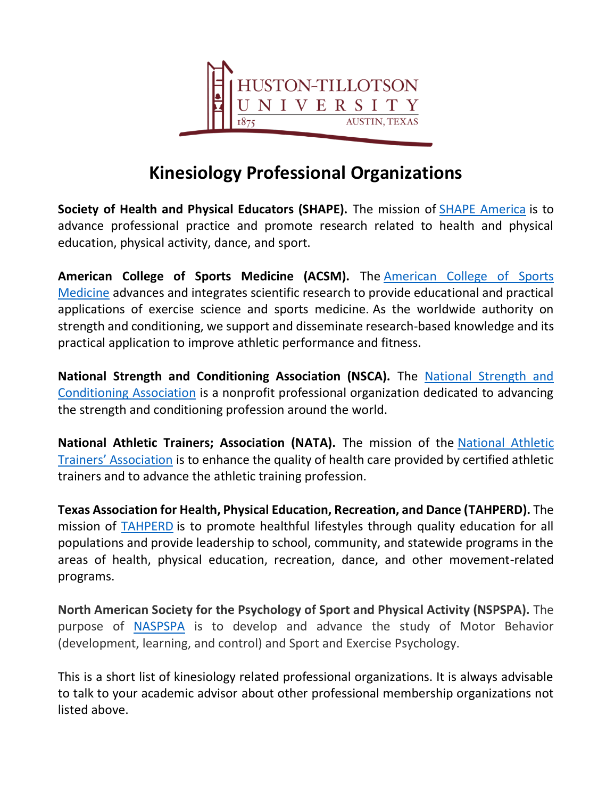

# **Kinesiology Professional Organizations**

**Society of Health and Physical Educators (SHAPE).** The mission of [SHAPE America](https://www.shapeamerica.org/) is to advance professional practice and promote research related to health and physical education, physical activity, dance, and sport.

**American College of Sports Medicine (ACSM).** The [American College of Sports](https://www.acsm.org/)  [Medicine](https://www.acsm.org/) advances and integrates scientific research to provide educational and practical applications of exercise science and sports medicine. As the worldwide authority on strength and conditioning, we support and disseminate research-based knowledge and its practical application to improve athletic performance and fitness.

**National Strength and Conditioning Association (NSCA).** The [National Strength and](https://www.nsca.com/)  [Conditioning Association](https://www.nsca.com/) is a nonprofit professional organization dedicated to advancing the strength and conditioning profession around the world.

**National Athletic Trainers; Association (NATA).** The mission of the [National Athletic](https://www.nata.org/)  [Trainers' Association](https://www.nata.org/) is to enhance the quality of health care provided by certified athletic trainers and to advance the athletic training profession.

**Texas Association for Health, Physical Education, Recreation, and Dance (TAHPERD).** The mission of [TAHPERD](https://www.tahperd.org/web/) is to promote healthful lifestyles through quality education for all populations and provide leadership to school, community, and statewide programs in the areas of health, physical education, recreation, dance, and other movement-related programs.

**North American Society for the Psychology of Sport and Physical Activity (NSPSPA).** The purpose of [NASPSPA](https://www.naspspa.com/) is to develop and advance the study of Motor Behavior (development, learning, and control) and Sport and Exercise Psychology.

This is a short list of kinesiology related professional organizations. It is always advisable to talk to your academic advisor about other professional membership organizations not listed above.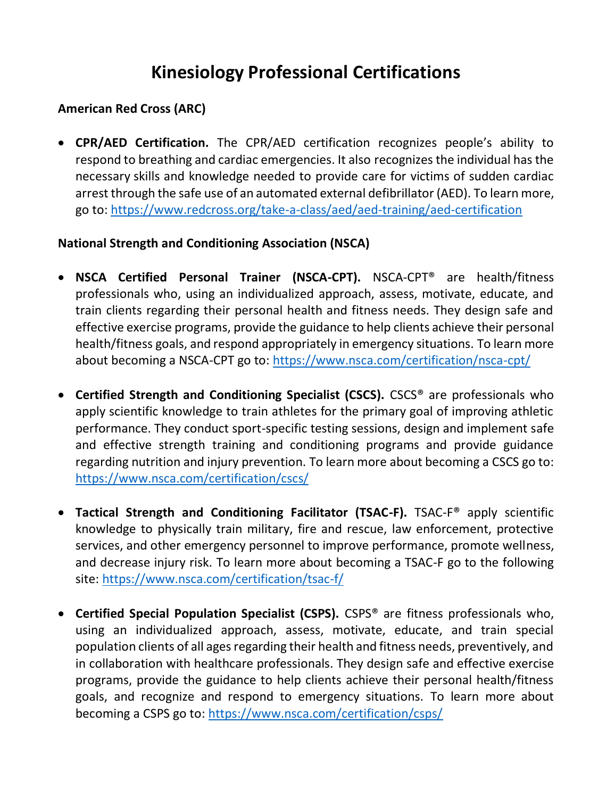# **Kinesiology Professional Certifications**

## **American Red Cross (ARC)**

• **CPR/AED Certification.** The CPR/AED certification recognizes people's ability to respond to breathing and cardiac emergencies. It also recognizes the individual has the necessary skills and knowledge needed to provide care for victims of sudden cardiac arrest through the safe use of an automated external defibrillator (AED). To learn more, go to:<https://www.redcross.org/take-a-class/aed/aed-training/aed-certification>

### **National Strength and Conditioning Association (NSCA)**

- **NSCA Certified Personal Trainer (NSCA-CPT).** NSCA-CPT® are health/fitness professionals who, using an individualized approach, assess, motivate, educate, and train clients regarding their personal health and fitness needs. They design safe and effective exercise programs, provide the guidance to help clients achieve their personal health/fitness goals, and respond appropriately in emergency situations. To learn more about becoming a NSCA-CPT go to:<https://www.nsca.com/certification/nsca-cpt/>
- **Certified Strength and Conditioning Specialist (CSCS).** CSCS® are professionals who apply scientific knowledge to train athletes for the primary goal of improving athletic performance. They conduct sport-specific testing sessions, design and implement safe and effective strength training and conditioning programs and provide guidance regarding nutrition and injury prevention. To learn more about becoming a CSCS go to: <https://www.nsca.com/certification/cscs/>
- **Tactical Strength and Conditioning Facilitator (TSAC-F).** TSAC-F® apply scientific knowledge to physically train military, fire and rescue, law enforcement, protective services, and other emergency personnel to improve performance, promote wellness, and decrease injury risk. To learn more about becoming a TSAC-F go to the following site:<https://www.nsca.com/certification/tsac-f/>
- **Certified Special Population Specialist (CSPS).** CSPS® are fitness professionals who, using an individualized approach, assess, motivate, educate, and train special population clients of all ages regarding their health and fitness needs, preventively, and in collaboration with healthcare professionals. They design safe and effective exercise programs, provide the guidance to help clients achieve their personal health/fitness goals, and recognize and respond to emergency situations. To learn more about becoming a CSPS go to:<https://www.nsca.com/certification/csps/>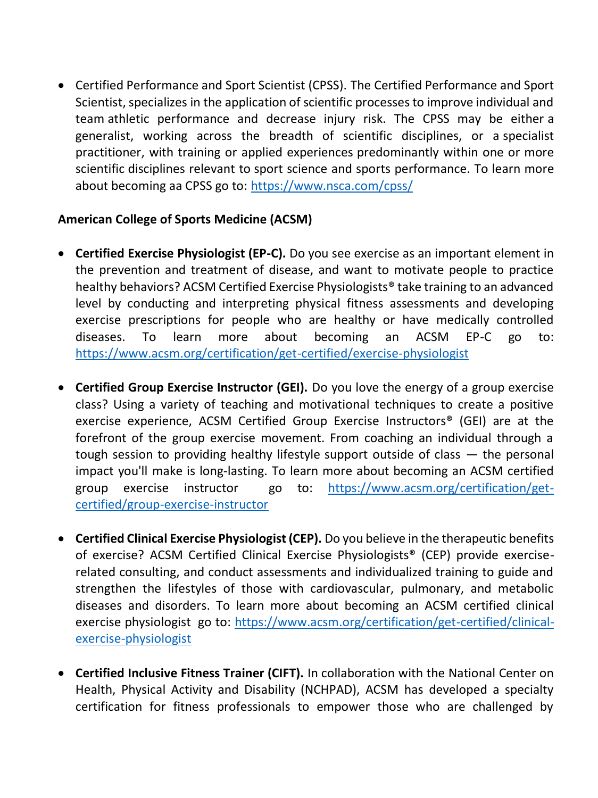• Certified Performance and Sport Scientist (CPSS). The Certified Performance and Sport Scientist, specializes in the application of scientific processes to improve individual and team athletic performance and decrease injury risk. The CPSS may be either a generalist, working across the breadth of scientific disciplines, or a specialist practitioner, with training or applied experiences predominantly within one or more scientific disciplines relevant to sport science and sports performance. To learn more about becoming aa CPSS go to:<https://www.nsca.com/cpss/>

### **American College of Sports Medicine (ACSM)**

- **Certified Exercise Physiologist (EP-C).** Do you see exercise as an important element in the prevention and treatment of disease, and want to motivate people to practice healthy behaviors? ACSM Certified Exercise Physiologists® take training to an advanced level by conducting and interpreting physical fitness assessments and developing exercise prescriptions for people who are healthy or have medically controlled diseases. To learn more about becoming an ACSM EP-C go to: <https://www.acsm.org/certification/get-certified/exercise-physiologist>
- **Certified Group Exercise Instructor (GEI).** Do you love the energy of a group exercise class? Using a variety of teaching and motivational techniques to create a positive exercise experience, ACSM Certified Group Exercise Instructors® (GEI) are at the forefront of the group exercise movement. From coaching an individual through a tough session to providing healthy lifestyle support outside of class — the personal impact you'll make is long-lasting. To learn more about becoming an ACSM certified group exercise instructor go to: [https://www.acsm.org/certification/get](https://www.acsm.org/certification/get-certified/group-exercise-instructor)[certified/group-exercise-instructor](https://www.acsm.org/certification/get-certified/group-exercise-instructor)
- **Certified Clinical Exercise Physiologist (CEP).** Do you believe in the therapeutic benefits of exercise? ACSM Certified Clinical Exercise Physiologists® (CEP) provide exerciserelated consulting, and conduct assessments and individualized training to guide and strengthen the lifestyles of those with cardiovascular, pulmonary, and metabolic diseases and disorders. To learn more about becoming an ACSM certified clinical exercise physiologist go to: [https://www.acsm.org/certification/get-certified/clinical](https://www.acsm.org/certification/get-certified/clinical-exercise-physiologist)[exercise-physiologist](https://www.acsm.org/certification/get-certified/clinical-exercise-physiologist)
- **Certified Inclusive Fitness Trainer (CIFT).** In collaboration with the National Center on Health, Physical Activity and Disability (NCHPAD), ACSM has developed a specialty certification for fitness professionals to empower those who are challenged by